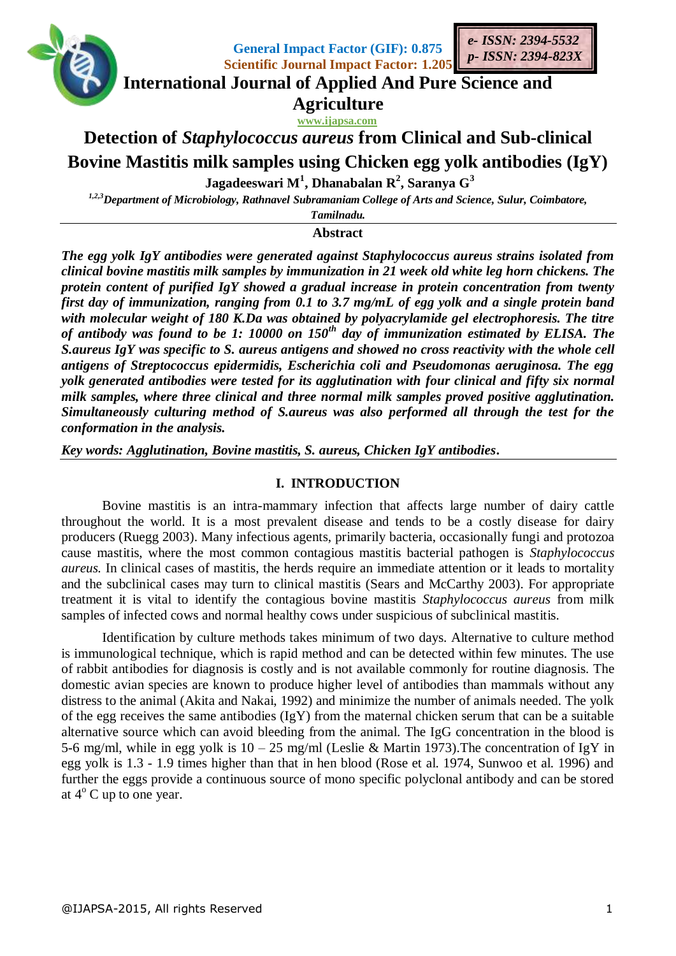

**General Impact Factor (GIF): 0.875 Scientific Journal Impact Factor: 1.205**



# **International Journal of Applied And Pure Science and Agriculture**

**www.ijapsa.com**

# **Detection of** *Staphylococcus aureus* **from Clinical and Sub-clinical Bovine Mastitis milk samples using Chicken egg yolk antibodies (IgY)**

**Jagadeeswari M<sup>1</sup> , Dhanabalan R<sup>2</sup> , Saranya G<sup>3</sup>**

*1,2,3Department of Microbiology, Rathnavel Subramaniam College of Arts and Science, Sulur, Coimbatore,* 

*Tamilnadu.* **Abstract**

*The egg yolk IgY antibodies were generated against Staphylococcus aureus strains isolated from clinical bovine mastitis milk samples by immunization in 21 week old white leg horn chickens. The protein content of purified IgY showed a gradual increase in protein concentration from twenty first day of immunization, ranging from 0.1 to 3.7 mg/mL of egg yolk and a single protein band with molecular weight of 180 K.Da was obtained by polyacrylamide gel electrophoresis. The titre of antibody was found to be 1: 10000 on 150th day of immunization estimated by ELISA. The S.aureus IgY was specific to S. aureus antigens and showed no cross reactivity with the whole cell antigens of Streptococcus epidermidis, Escherichia coli and Pseudomonas aeruginosa. The egg yolk generated antibodies were tested for its agglutination with four clinical and fifty six normal milk samples, where three clinical and three normal milk samples proved positive agglutination. Simultaneously culturing method of S.aureus was also performed all through the test for the conformation in the analysis.*

*Key words: Agglutination, Bovine mastitis, S. aureus, Chicken IgY antibodies***.** 

# **I. INTRODUCTION**

Bovine mastitis is an intra-mammary infection that affects large number of dairy cattle throughout the world. It is a most prevalent disease and tends to be a costly disease for dairy producers (Ruegg 2003). Many infectious agents, primarily bacteria, occasionally fungi and protozoa cause mastitis, where the most common contagious mastitis bacterial pathogen is *Staphylococcus aureus.* In clinical cases of mastitis, the herds require an immediate attention or it leads to mortality and the subclinical cases may turn to clinical mastitis (Sears and McCarthy 2003). For appropriate treatment it is vital to identify the contagious bovine mastitis *Staphylococcus aureus* from milk samples of infected cows and normal healthy cows under suspicious of subclinical mastitis.

Identification by culture methods takes minimum of two days. Alternative to culture method is immunological technique, which is rapid method and can be detected within few minutes. The use of rabbit antibodies for diagnosis is costly and is not available commonly for routine diagnosis. The domestic avian species are known to produce higher level of antibodies than mammals without any distress to the animal (Akita and Nakai, 1992) and minimize the number of animals needed. The yolk of the egg receives the same antibodies (IgY) from the maternal chicken serum that can be a suitable alternative source which can avoid bleeding from the animal. The IgG concentration in the blood is 5-6 mg/ml, while in egg yolk is 10 – 25 mg/ml (Leslie & Martin 1973).The concentration of IgY in egg yolk is 1.3 - 1.9 times higher than that in hen blood (Rose et al. 1974, Sunwoo et al. 1996) and further the eggs provide a continuous source of mono specific polyclonal antibody and can be stored at  $4^{\circ}$  C up to one year.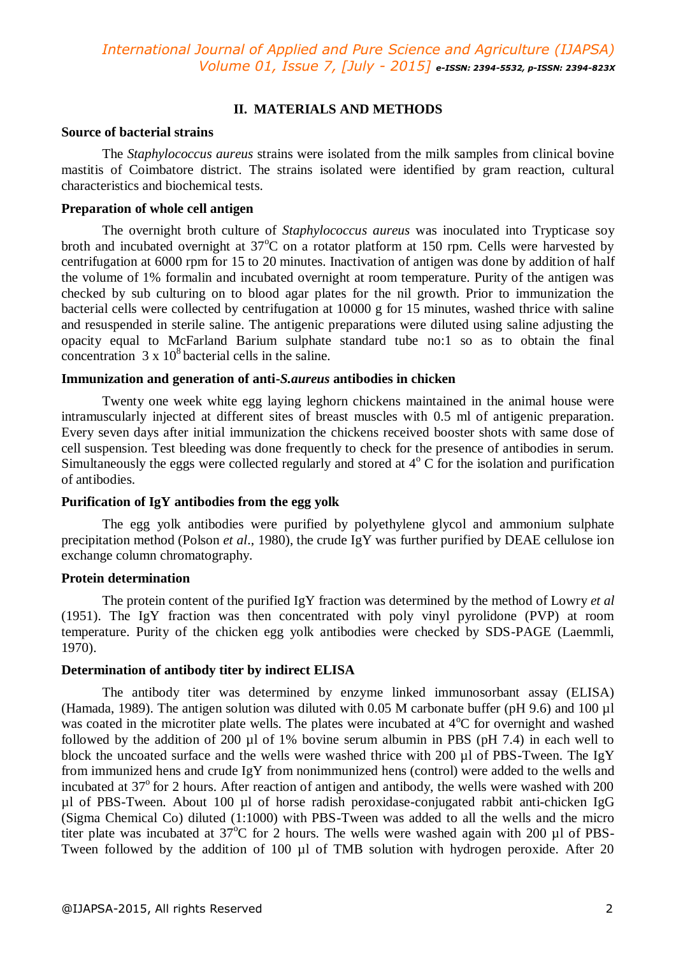# **II. MATERIALS AND METHODS**

## **Source of bacterial strains**

The *Staphylococcus aureus* strains were isolated from the milk samples from clinical bovine mastitis of Coimbatore district. The strains isolated were identified by gram reaction, cultural characteristics and biochemical tests.

# **Preparation of whole cell antigen**

The overnight broth culture of *Staphylococcus aureus* was inoculated into Trypticase soy broth and incubated overnight at  $37^{\circ}$ C on a rotator platform at 150 rpm. Cells were harvested by centrifugation at 6000 rpm for 15 to 20 minutes. Inactivation of antigen was done by addition of half the volume of 1% formalin and incubated overnight at room temperature. Purity of the antigen was checked by sub culturing on to blood agar plates for the nil growth. Prior to immunization the bacterial cells were collected by centrifugation at 10000 g for 15 minutes, washed thrice with saline and resuspended in sterile saline. The antigenic preparations were diluted using saline adjusting the opacity equal to McFarland Barium sulphate standard tube no:1 so as to obtain the final concentration  $3 \times 10^8$  bacterial cells in the saline.

# **Immunization and generation of anti-***S.aureus* **antibodies in chicken**

Twenty one week white egg laying leghorn chickens maintained in the animal house were intramuscularly injected at different sites of breast muscles with 0.5 ml of antigenic preparation. Every seven days after initial immunization the chickens received booster shots with same dose of cell suspension. Test bleeding was done frequently to check for the presence of antibodies in serum. Simultaneously the eggs were collected regularly and stored at  $4^{\circ}$  C for the isolation and purification of antibodies.

# **Purification of IgY antibodies from the egg yolk**

The egg yolk antibodies were purified by polyethylene glycol and ammonium sulphate precipitation method (Polson *et al*., 1980), the crude IgY was further purified by DEAE cellulose ion exchange column chromatography.

# **Protein determination**

The protein content of the purified IgY fraction was determined by the method of Lowry *et al*  (1951). The IgY fraction was then concentrated with poly vinyl pyrolidone (PVP) at room temperature. Purity of the chicken egg yolk antibodies were checked by SDS-PAGE (Laemmli, 1970).

## **Determination of antibody titer by indirect ELISA**

The antibody titer was determined by enzyme linked immunosorbant assay (ELISA) (Hamada, 1989). The antigen solution was diluted with 0.05 M carbonate buffer (pH 9.6) and 100 µl was coated in the microtiter plate wells. The plates were incubated at 4°C for overnight and washed followed by the addition of 200 µl of 1% bovine serum albumin in PBS (pH 7.4) in each well to block the uncoated surface and the wells were washed thrice with 200  $\mu$ l of PBS-Tween. The IgY from immunized hens and crude IgY from nonimmunized hens (control) were added to the wells and incubated at  $37^{\circ}$  for 2 hours. After reaction of antigen and antibody, the wells were washed with 200 µl of PBS-Tween. About 100 µl of horse radish peroxidase-conjugated rabbit anti-chicken IgG (Sigma Chemical Co) diluted (1:1000) with PBS-Tween was added to all the wells and the micro titer plate was incubated at  $37^{\circ}$ C for 2 hours. The wells were washed again with 200 µl of PBS-Tween followed by the addition of 100 µl of TMB solution with hydrogen peroxide. After 20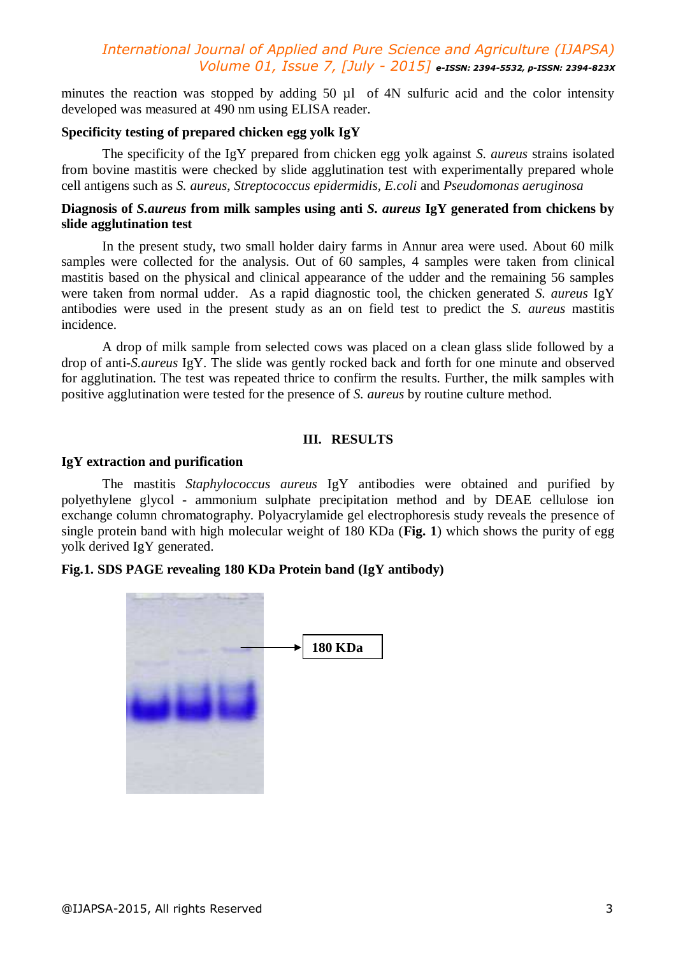minutes the reaction was stopped by adding 50 ul of 4N sulfuric acid and the color intensity developed was measured at 490 nm using ELISA reader.

# **Specificity testing of prepared chicken egg yolk IgY**

The specificity of the IgY prepared from chicken egg yolk against *S. aureus* strains isolated from bovine mastitis were checked by slide agglutination test with experimentally prepared whole cell antigens such as *S. aureus*, *Streptococcus epidermidis, E.coli* and *Pseudomonas aeruginosa* 

# **Diagnosis of** *S.aureus* **from milk samples using anti** *S. aureus* **IgY generated from chickens by slide agglutination test**

In the present study, two small holder dairy farms in Annur area were used. About 60 milk samples were collected for the analysis. Out of 60 samples, 4 samples were taken from clinical mastitis based on the physical and clinical appearance of the udder and the remaining 56 samples were taken from normal udder. As a rapid diagnostic tool, the chicken generated *S. aureus* IgY antibodies were used in the present study as an on field test to predict the *S. aureus* mastitis incidence.

A drop of milk sample from selected cows was placed on a clean glass slide followed by a drop of anti-*S.aureus* IgY. The slide was gently rocked back and forth for one minute and observed for agglutination. The test was repeated thrice to confirm the results. Further, the milk samples with positive agglutination were tested for the presence of *S. aureus* by routine culture method.

# **III. RESULTS**

### **IgY extraction and purification**

The mastitis *Staphylococcus aureus* IgY antibodies were obtained and purified by polyethylene glycol - ammonium sulphate precipitation method and by DEAE cellulose ion exchange column chromatography. Polyacrylamide gel electrophoresis study reveals the presence of single protein band with high molecular weight of 180 KDa (**Fig. 1**) which shows the purity of egg yolk derived IgY generated.

# **Fig.1. SDS PAGE revealing 180 KDa Protein band (IgY antibody)**

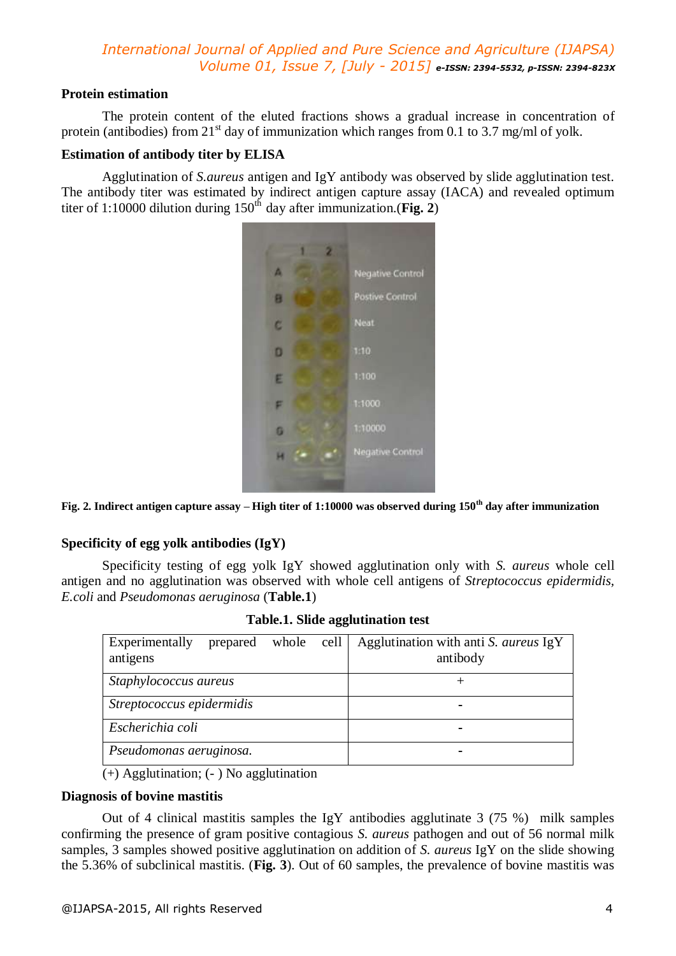# **Protein estimation**

The protein content of the eluted fractions shows a gradual increase in concentration of protein (antibodies) from  $21<sup>st</sup>$  day of immunization which ranges from 0.1 to 3.7 mg/ml of yolk.

# **Estimation of antibody titer by ELISA**

Agglutination of *S.aureus* antigen and IgY antibody was observed by slide agglutination test. The antibody titer was estimated by indirect antigen capture assay (IACA) and revealed optimum titer of 1:10000 dilution during  $150^{th}$  day after immunization.(**Fig. 2**)



**Fig. 2. Indirect antigen capture assay – High titer of 1:10000 was observed during 150th day after immunization**

# **Specificity of egg yolk antibodies (IgY)**

Specificity testing of egg yolk IgY showed agglutination only with *S. aureus* whole cell antigen and no agglutination was observed with whole cell antigens of *Streptococcus epidermidis, E.coli* and *Pseudomonas aeruginosa* (**Table.1**)

| Experimentally<br>antigens | prepared | whole | cell | Agglutination with anti S. aureus IgY<br>antibody |  |
|----------------------------|----------|-------|------|---------------------------------------------------|--|
| Staphylococcus aureus      |          |       |      |                                                   |  |
| Streptococcus epidermidis  |          |       |      |                                                   |  |
| Escherichia coli           |          |       |      |                                                   |  |
| Pseudomonas aeruginosa.    |          |       |      |                                                   |  |

**Table.1. Slide agglutination test**

(+) Agglutination; (- ) No agglutination

# **Diagnosis of bovine mastitis**

Out of 4 clinical mastitis samples the IgY antibodies agglutinate  $3(75\%)$  milk samples confirming the presence of gram positive contagious *S. aureus* pathogen and out of 56 normal milk samples, 3 samples showed positive agglutination on addition of *S. aureus* IgY on the slide showing the 5.36% of subclinical mastitis. (**Fig. 3**). Out of 60 samples, the prevalence of bovine mastitis was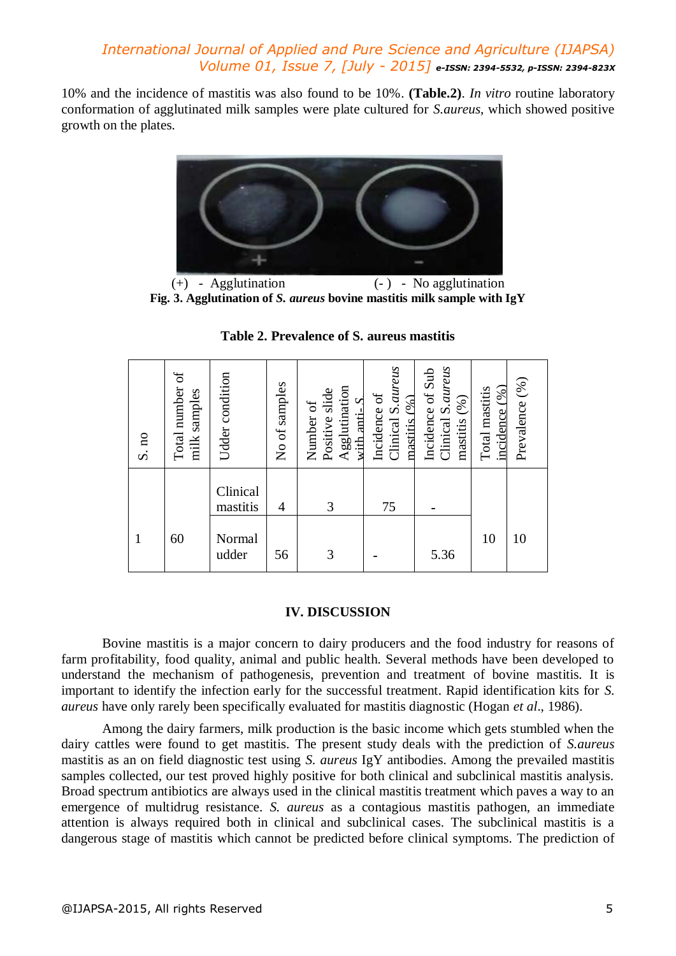10% and the incidence of mastitis was also found to be 10%. **(Table.2)**. *In vitro* routine laboratory conformation of agglutinated milk samples were plate cultured for *S.aureus*, which showed positive growth on the plates.



(+) - Agglutination (- ) - No agglutination **Fig. 3. Agglutination of** *S. aureus* **bovine mastitis milk sample with IgY**

| S. no | Total number of<br>milk samples | Udder condition      | No of samples  | Agglutination<br>Positive slide<br>with anti- $S$<br>Number of | Clinical S. aureus<br>Incidence of<br>maxitis (%) | Clinical S. aureus<br>Incidence of Sub<br>mastitis (%) | incidence(%)<br>Total mastitis | Prevalence (%) |
|-------|---------------------------------|----------------------|----------------|----------------------------------------------------------------|---------------------------------------------------|--------------------------------------------------------|--------------------------------|----------------|
|       |                                 | Clinical<br>mastitis | $\overline{4}$ | 3                                                              | 75                                                |                                                        |                                |                |
|       | 60                              | Normal<br>udder      | 56             | 3                                                              |                                                   | 5.36                                                   | 10                             | 10             |

**Table 2. Prevalence of S. aureus mastitis**

# **IV. DISCUSSION**

Bovine mastitis is a major concern to dairy producers and the food industry for reasons of farm profitability, food quality, animal and public health. Several methods have been developed to understand the mechanism of pathogenesis, prevention and treatment of bovine mastitis. It is important to identify the infection early for the successful treatment. Rapid identification kits for *S. aureus* have only rarely been specifically evaluated for mastitis diagnostic (Hogan *et al*., 1986).

Among the dairy farmers, milk production is the basic income which gets stumbled when the dairy cattles were found to get mastitis. The present study deals with the prediction of *S.aureus* mastitis as an on field diagnostic test using *S. aureus* IgY antibodies. Among the prevailed mastitis samples collected, our test proved highly positive for both clinical and subclinical mastitis analysis. Broad spectrum antibiotics are always used in the clinical mastitis treatment which paves a way to an emergence of multidrug resistance. *S. aureus* as a contagious mastitis pathogen, an immediate attention is always required both in clinical and subclinical cases. The subclinical mastitis is a dangerous stage of mastitis which cannot be predicted before clinical symptoms. The prediction of